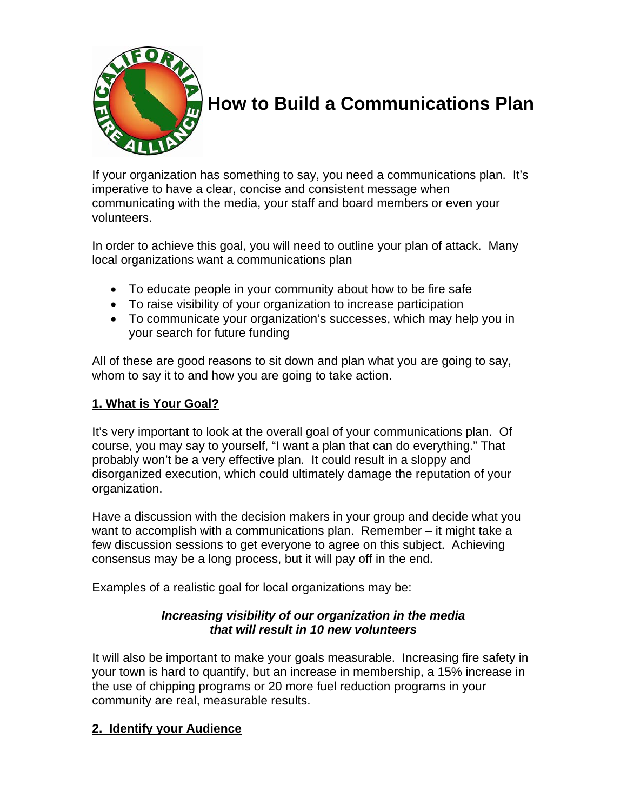

# **How to Build a Communications Plan**

If your organization has something to say, you need a communications plan. It's imperative to have a clear, concise and consistent message when communicating with the media, your staff and board members or even your volunteers.

In order to achieve this goal, you will need to outline your plan of attack. Many local organizations want a communications plan

- To educate people in your community about how to be fire safe
- To raise visibility of your organization to increase participation
- To communicate your organization's successes, which may help you in your search for future funding

All of these are good reasons to sit down and plan what you are going to say, whom to say it to and how you are going to take action.

# **1. What is Your Goal?**

It's very important to look at the overall goal of your communications plan. Of course, you may say to yourself, "I want a plan that can do everything." That probably won't be a very effective plan. It could result in a sloppy and disorganized execution, which could ultimately damage the reputation of your organization.

Have a discussion with the decision makers in your group and decide what you want to accomplish with a communications plan. Remember – it might take a few discussion sessions to get everyone to agree on this subject. Achieving consensus may be a long process, but it will pay off in the end.

Examples of a realistic goal for local organizations may be:

## *Increasing visibility of our organization in the media that will result in 10 new volunteers*

It will also be important to make your goals measurable. Increasing fire safety in your town is hard to quantify, but an increase in membership, a 15% increase in the use of chipping programs or 20 more fuel reduction programs in your community are real, measurable results.

# **2. Identify your Audience**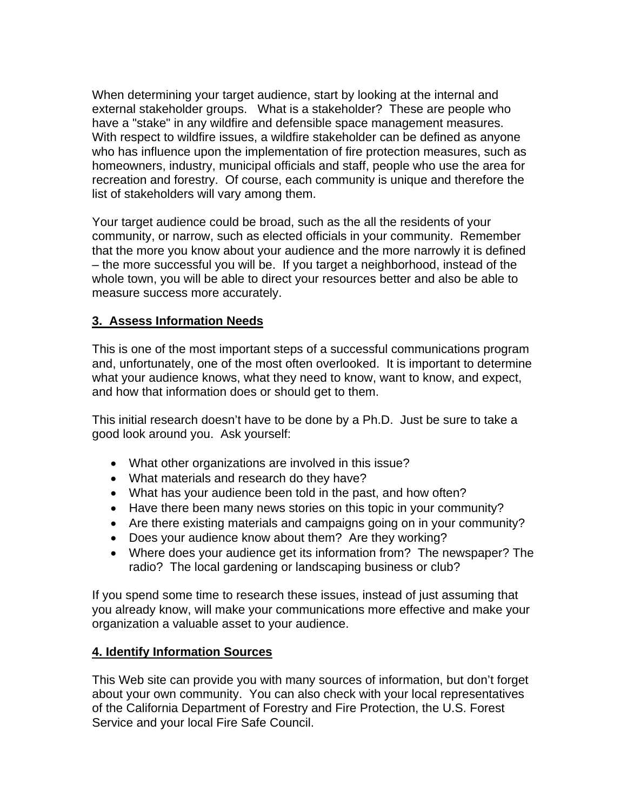When determining your target audience, start by looking at the internal and external stakeholder groups. What is a stakeholder? These are people who have a "stake" in any wildfire and defensible space management measures. With respect to wildfire issues, a wildfire stakeholder can be defined as anyone who has influence upon the implementation of fire protection measures, such as homeowners, industry, municipal officials and staff, people who use the area for recreation and forestry. Of course, each community is unique and therefore the list of stakeholders will vary among them.

Your target audience could be broad, such as the all the residents of your community, or narrow, such as elected officials in your community. Remember that the more you know about your audience and the more narrowly it is defined – the more successful you will be. If you target a neighborhood, instead of the whole town, you will be able to direct your resources better and also be able to measure success more accurately.

#### **3. Assess Information Needs**

This is one of the most important steps of a successful communications program and, unfortunately, one of the most often overlooked. It is important to determine what your audience knows, what they need to know, want to know, and expect, and how that information does or should get to them.

This initial research doesn't have to be done by a Ph.D. Just be sure to take a good look around you. Ask yourself:

- What other organizations are involved in this issue?
- What materials and research do they have?
- What has your audience been told in the past, and how often?
- Have there been many news stories on this topic in your community?
- Are there existing materials and campaigns going on in your community?
- Does your audience know about them? Are they working?
- Where does your audience get its information from? The newspaper? The radio? The local gardening or landscaping business or club?

If you spend some time to research these issues, instead of just assuming that you already know, will make your communications more effective and make your organization a valuable asset to your audience.

#### **4. Identify Information Sources**

This Web site can provide you with many sources of information, but don't forget about your own community. You can also check with your local representatives of the California Department of Forestry and Fire Protection, the U.S. Forest Service and your local Fire Safe Council.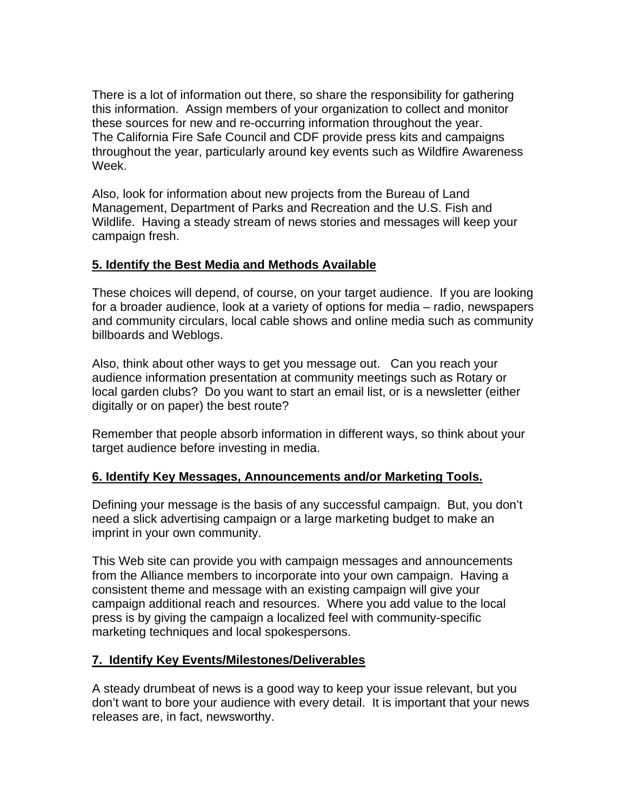There is a lot of information out there, so share the responsibility for gathering this information. Assign members of your organization to collect and monitor these sources for new and re-occurring information throughout the year. The California Fire Safe Council and CDF provide press kits and campaigns throughout the year, particularly around key events such as Wildfire Awareness Week.

Also, look for information about new projects from the Bureau of Land Management, Department of Parks and Recreation and the U.S. Fish and Wildlife. Having a steady stream of news stories and messages will keep your campaign fresh.

## **5. Identify the Best Media and Methods Available**

These choices will depend, of course, on your target audience. If you are looking for a broader audience, look at a variety of options for media – radio, newspapers and community circulars, local cable shows and online media such as community billboards and Weblogs.

Also, think about other ways to get you message out. Can you reach your audience information presentation at community meetings such as Rotary or local garden clubs? Do you want to start an email list, or is a newsletter (either digitally or on paper) the best route?

Remember that people absorb information in different ways, so think about your target audience before investing in media.

## **6. Identify Key Messages, Announcements and/or Marketing Tools.**

Defining your message is the basis of any successful campaign. But, you don't need a slick advertising campaign or a large marketing budget to make an imprint in your own community.

This Web site can provide you with campaign messages and announcements from the Alliance members to incorporate into your own campaign. Having a consistent theme and message with an existing campaign will give your campaign additional reach and resources. Where you add value to the local press is by giving the campaign a localized feel with community-specific marketing techniques and local spokespersons.

#### **7. Identify Key Events/Milestones/Deliverables**

A steady drumbeat of news is a good way to keep your issue relevant, but you don't want to bore your audience with every detail. It is important that your news releases are, in fact, newsworthy.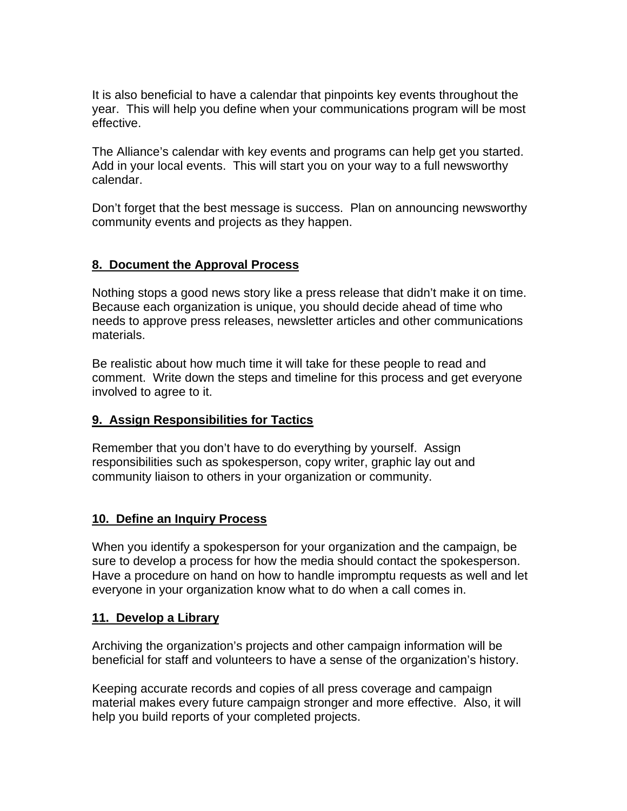It is also beneficial to have a calendar that pinpoints key events throughout the year. This will help you define when your communications program will be most effective.

The Alliance's calendar with key events and programs can help get you started. Add in your local events. This will start you on your way to a full newsworthy calendar.

Don't forget that the best message is success. Plan on announcing newsworthy community events and projects as they happen.

## **8. Document the Approval Process**

Nothing stops a good news story like a press release that didn't make it on time. Because each organization is unique, you should decide ahead of time who needs to approve press releases, newsletter articles and other communications materials.

Be realistic about how much time it will take for these people to read and comment. Write down the steps and timeline for this process and get everyone involved to agree to it.

## **9. Assign Responsibilities for Tactics**

Remember that you don't have to do everything by yourself. Assign responsibilities such as spokesperson, copy writer, graphic lay out and community liaison to others in your organization or community.

## **10. Define an Inquiry Process**

When you identify a spokesperson for your organization and the campaign, be sure to develop a process for how the media should contact the spokesperson. Have a procedure on hand on how to handle impromptu requests as well and let everyone in your organization know what to do when a call comes in.

#### **11. Develop a Library**

Archiving the organization's projects and other campaign information will be beneficial for staff and volunteers to have a sense of the organization's history.

Keeping accurate records and copies of all press coverage and campaign material makes every future campaign stronger and more effective. Also, it will help you build reports of your completed projects.